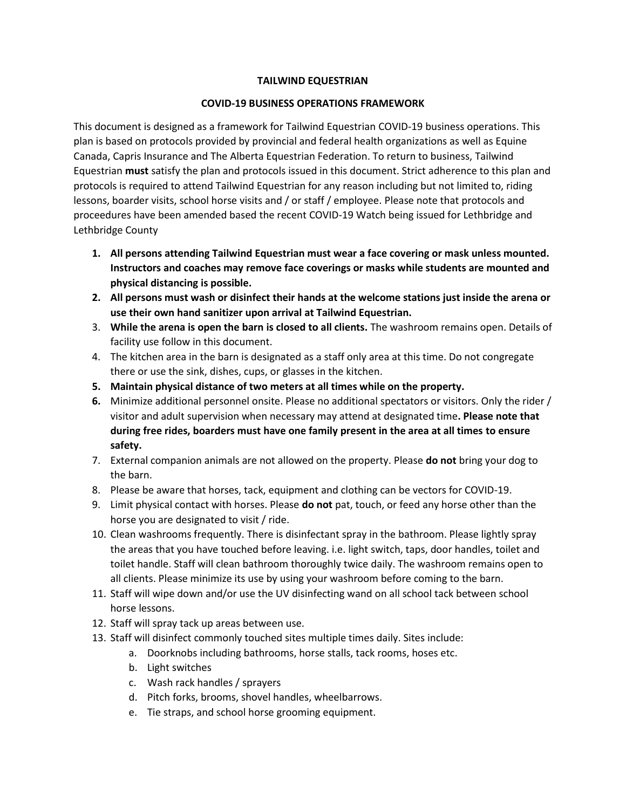## **TAILWIND EQUESTRIAN**

## **COVID-19 BUSINESS OPERATIONS FRAMEWORK**

This document is designed as a framework for Tailwind Equestrian COVID-19 business operations. This plan is based on protocols provided by provincial and federal health organizations as well as Equine Canada, Capris Insurance and The Alberta Equestrian Federation. To return to business, Tailwind Equestrian **must** satisfy the plan and protocols issued in this document. Strict adherence to this plan and protocols is required to attend Tailwind Equestrian for any reason including but not limited to, riding lessons, boarder visits, school horse visits and / or staff / employee. Please note that protocols and proceedures have been amended based the recent COVID-19 Watch being issued for Lethbridge and Lethbridge County

- **1. All persons attending Tailwind Equestrian must wear a face covering or mask unless mounted. Instructors and coaches may remove face coverings or masks while students are mounted and physical distancing is possible.**
- **2. All persons must wash or disinfect their hands at the welcome stations just inside the arena or use their own hand sanitizer upon arrival at Tailwind Equestrian.**
- 3. **While the arena is open the barn is closed to all clients.** The washroom remains open. Details of facility use follow in this document.
- 4. The kitchen area in the barn is designated as a staff only area at this time. Do not congregate there or use the sink, dishes, cups, or glasses in the kitchen.
- **5. Maintain physical distance of two meters at all times while on the property.**
- **6.** Minimize additional personnel onsite. Please no additional spectators or visitors. Only the rider / visitor and adult supervision when necessary may attend at designated time**. Please note that during free rides, boarders must have one family present in the area at all times to ensure safety.**
- 7. External companion animals are not allowed on the property. Please **do not** bring your dog to the barn.
- 8. Please be aware that horses, tack, equipment and clothing can be vectors for COVID-19.
- 9. Limit physical contact with horses. Please **do not** pat, touch, or feed any horse other than the horse you are designated to visit / ride.
- 10. Clean washrooms frequently. There is disinfectant spray in the bathroom. Please lightly spray the areas that you have touched before leaving. i.e. light switch, taps, door handles, toilet and toilet handle. Staff will clean bathroom thoroughly twice daily. The washroom remains open to all clients. Please minimize its use by using your washroom before coming to the barn.
- 11. Staff will wipe down and/or use the UV disinfecting wand on all school tack between school horse lessons.
- 12. Staff will spray tack up areas between use.
- 13. Staff will disinfect commonly touched sites multiple times daily. Sites include:
	- a. Doorknobs including bathrooms, horse stalls, tack rooms, hoses etc.
	- b. Light switches
	- c. Wash rack handles / sprayers
	- d. Pitch forks, brooms, shovel handles, wheelbarrows.
	- e. Tie straps, and school horse grooming equipment.